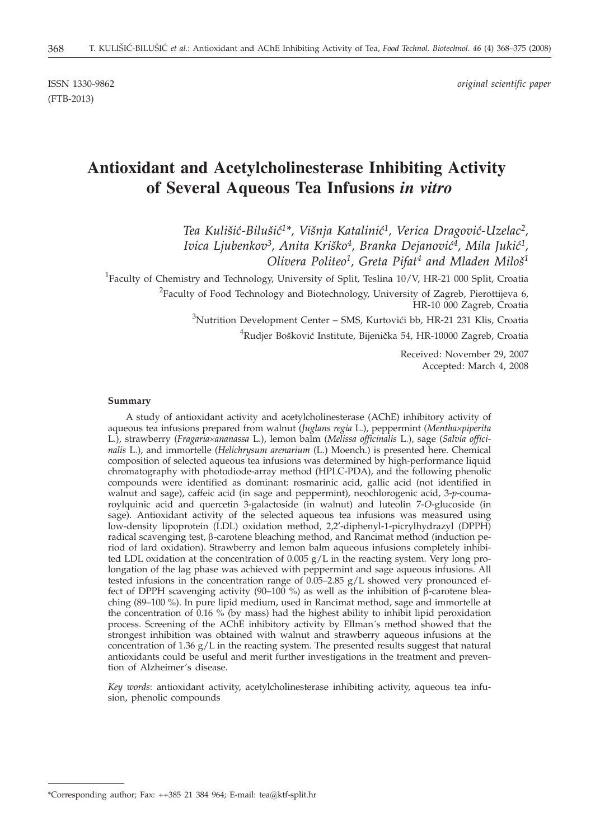(FTB-2013)

ISSN 1330-9862 *original scientific paper*

# **Antioxidant and Acetylcholinesterase Inhibiting Activity of Several Aqueous Tea Infusions** *in vitro*

Tea Kulišić-Bilušić<sup>1\*</sup>, Višnja Katalinić<sup>1</sup>, Verica Dragović-Uzelac<sup>2</sup>, Ivica Ljubenkov<sup>3</sup>, Anita Kriško<sup>4</sup>, Branka Dejanović<sup>4</sup>, Mila Jukić<sup>1</sup>, *Olivera Politeo1, Greta Pifat4 and Mladen Milo{1*

<sup>1</sup>Faculty of Chemistry and Technology, University of Split, Teslina 10/V, HR-21 000 Split, Croatia <sup>2</sup>Faculty of Food Technology and Biotechnology, University of Zagreb, Pierottijeva 6, HR-10 000 Zagreb, Croatia  $3$ Nutrition Development Center – SMS, Kurtovići bb, HR-21 231 Klis, Croatia

 ${}^{4}$ Rudjer Bošković Institute, Bijenička 54, HR-10000 Zagreb, Croatia

Received: November 29, 2007 Accepted: March 4, 2008

#### **Summary**

A study of antioxidant activity and acetylcholinesterase (AChE) inhibitory activity of aqueous tea infusions prepared from walnut (*Juglans regia* L.), peppermint (*Mentha´piperita* L.), strawberry (*Fragaria´ananassa* L.), lemon balm (*Melissa officinalis* L.), sage (*Salvia officinalis* L.), and immortelle (*Helichrysum arenarium* (L.) Moench.) is presented here. Chemical composition of selected aqueous tea infusions was determined by high-performance liquid chromatography with photodiode-array method (HPLC-PDA), and the following phenolic compounds were identified as dominant: rosmarinic acid, gallic acid (not identified in walnut and sage), caffeic acid (in sage and peppermint), neochlorogenic acid, 3-*p*-coumaroylquinic acid and quercetin 3-galactoside (in walnut) and luteolin 7-*O*-glucoside (in sage). Antioxidant activity of the selected aqueous tea infusions was measured using low-density lipoprotein (LDL) oxidation method, 2,2′-diphenyl-1-picrylhydrazyl (DPPH) radical scavenging test,  $\beta$ -carotene bleaching method, and Rancimat method (induction period of lard oxidation). Strawberry and lemon balm aqueous infusions completely inhibited LDL oxidation at the concentration of  $0.005$  g/L in the reacting system. Very long prolongation of the lag phase was achieved with peppermint and sage aqueous infusions. All tested infusions in the concentration range of  $0.05-2.85$  g/L showed very pronounced effect of DPPH scavenging activity (90–100 %) as well as the inhibition of  $\beta$ -carotene bleaching (89–100 %). In pure lipid medium, used in Rancimat method, sage and immortelle at the concentration of 0.16 % (by mass) had the highest ability to inhibit lipid peroxidation process. Screening of the AChE inhibitory activity by Ellman´s method showed that the strongest inhibition was obtained with walnut and strawberry aqueous infusions at the concentration of  $1.36 \text{ g/L}$  in the reacting system. The presented results suggest that natural antioxidants could be useful and merit further investigations in the treatment and prevention of Alzheimer's disease.

*Key words*: antioxidant activity, acetylcholinesterase inhibiting activity, aqueous tea infusion, phenolic compounds

<sup>\*</sup>Corresponding author; Fax: ++385 21 384 964; E-mail: tea@ktf-split.hr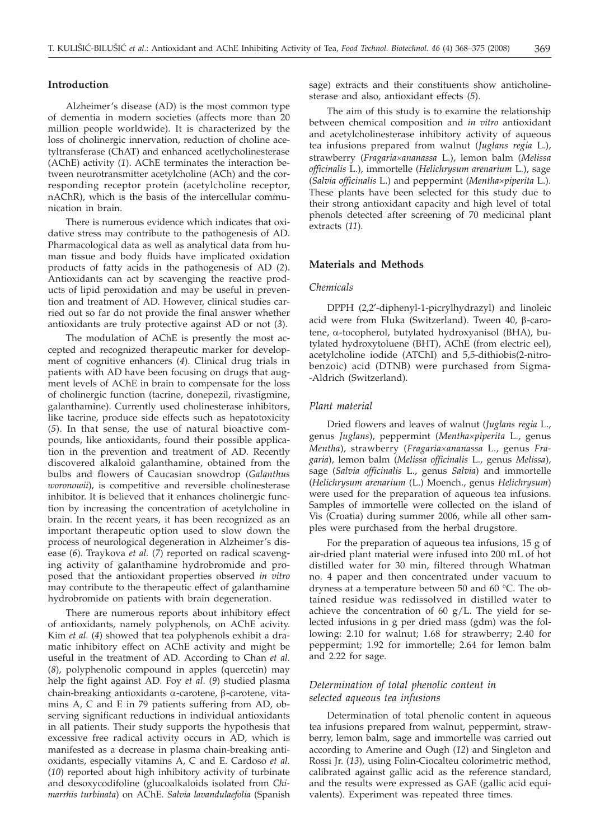## **Introduction**

Alzheimer's disease (AD) is the most common type of dementia in modern societies (affects more than 20 million people worldwide). It is characterized by the loss of cholinergic innervation, reduction of choline acetyltransferase (ChAT) and enhanced acetlycholinesterase (AChE) activity (*1*). AChE terminates the interaction between neurotransmitter acetylcholine (ACh) and the corresponding receptor protein (acetylcholine receptor, nAChR), which is the basis of the intercellular communication in brain.

There is numerous evidence which indicates that oxidative stress may contribute to the pathogenesis of AD. Pharmacological data as well as analytical data from human tissue and body fluids have implicated oxidation products of fatty acids in the pathogenesis of AD (*2*). Antioxidants can act by scavenging the reactive products of lipid peroxidation and may be useful in prevention and treatment of AD. However, clinical studies carried out so far do not provide the final answer whether antioxidants are truly protective against AD or not (*3*).

The modulation of AChE is presently the most accepted and recognized therapeutic marker for development of cognitive enhancers (*4*). Clinical drug trials in patients with AD have been focusing on drugs that augment levels of AChE in brain to compensate for the loss of cholinergic function (tacrine, donepezil, rivastigmine, galanthamine). Currently used cholinesterase inhibitors, like tacrine, produce side effects such as hepatotoxicity (*5*). In that sense, the use of natural bioactive compounds, like antioxidants, found their possible application in the prevention and treatment of AD. Recently discovered alkaloid galanthamine, obtained from the bulbs and flowers of Caucasian snowdrop (*Galanthus woronowii*), is competitive and reversible cholinesterase inhibitor. It is believed that it enhances cholinergic function by increasing the concentration of acetylcholine in brain. In the recent years, it has been recognized as an important therapeutic option used to slow down the process of neurological degeneration in Alzheimer's disease (*6*). Traykova *et al.* (*7*) reported on radical scavenging activity of galanthamine hydrobromide and proposed that the antioxidant properties observed *in vitro* may contribute to the therapeutic effect of galanthamine hydrobromide on patients with brain degeneration.

There are numerous reports about inhibitory effect of antioxidants, namely polyphenols, on AChE acivity. Kim *et al.* (*4*) showed that tea polyphenols exhibit a dramatic inhibitory effect on AChE activity and might be useful in the treatment of AD. According to Chan *et al.* (*8*), polyphenolic compound in apples (quercetin) may help the fight against AD. Foy *et al*. (*9*) studied plasma chain-breaking antioxidants  $\alpha$ -carotene,  $\beta$ -carotene, vitamins A, C and E in 79 patients suffering from AD, observing significant reductions in individual antioxidants in all patients. Their study supports the hypothesis that excessive free radical activity occurs in AD, which is manifested as a decrease in plasma chain-breaking antioxidants, especially vitamins A, C and E. Cardoso *et al.* (*10*) reported about high inhibitory activity of turbinate and desoxycodifoline (glucoalkaloids isolated from *Chimarrhis turbinata*) on AChE. *Salvia lavandulaefolia* (Spanish sage) extracts and their constituents show anticholinesterase and also, antioxidant effects (*5*).

The aim of this study is to examine the relationship between chemical composition and *in vitro* antioxidant and acetylcholinesterase inhibitory activity of aqueous tea infusions prepared from walnut (*Juglans regia* L.), strawberry (*Fragaria´ananassa* L.), lemon balm (*Melissa officinalis* L.), immortelle (*Helichrysum arenarium* L.), sage (*Salvia officinalis* L.) and peppermint (*Mentha´piperita* L.). These plants have been selected for this study due to their strong antioxidant capacity and high level of total phenols detected after screening of 70 medicinal plant extracts (*11*).

#### **Materials and Methods**

#### *Chemicals*

DPPH (2,2′-diphenyl-1-picrylhydrazyl) and linoleic acid were from Fluka (Switzerland). Tween 40, β-carotene, a-tocopherol, butylated hydroxyanisol (BHA), butylated hydroxytoluene (BHT), AChE (from electric eel), acetylcholine iodide (ATChI) and 5,5-dithiobis(2-nitrobenzoic) acid (DTNB) were purchased from Sigma- -Aldrich (Switzerland).

#### *Plant material*

Dried flowers and leaves of walnut (*Juglans regia* L., genus *Juglans*), peppermint (*Mentha´piperita* L., genus *Mentha*), strawberry (*Fragaria´ananassa* L., genus *Fragaria*), lemon balm (*Melissa officinalis* L., genus *Melissa*), sage (*Salvia officinalis* L., genus *Salvia*) and immortelle (*Helichrysum arenarium* (L.) Moench., genus *Helichrysum*) were used for the preparation of aqueous tea infusions. Samples of immortelle were collected on the island of Vis (Croatia) during summer 2006, while all other samples were purchased from the herbal drugstore.

For the preparation of aqueous tea infusions, 15 g of air-dried plant material were infused into 200 mL of hot distilled water for 30 min, filtered through Whatman no. 4 paper and then concentrated under vacuum to dryness at a temperature between 50 and 60 °C. The obtained residue was redissolved in distilled water to achieve the concentration of  $60 \text{ g/L}$ . The yield for selected infusions in g per dried mass (gdm) was the following: 2.10 for walnut; 1.68 for strawberry; 2.40 for peppermint; 1.92 for immortelle; 2.64 for lemon balm and 2.22 for sage.

# *Determination of total phenolic content in selected aqueous tea infusions*

Determination of total phenolic content in aqueous tea infusions prepared from walnut, peppermint, strawberry, lemon balm, sage and immortelle was carried out according to Amerine and Ough (*12*) and Singleton and Rossi Jr. (*13*), using Folin-Ciocalteu colorimetric method, calibrated against gallic acid as the reference standard, and the results were expressed as GAE (gallic acid equivalents). Experiment was repeated three times.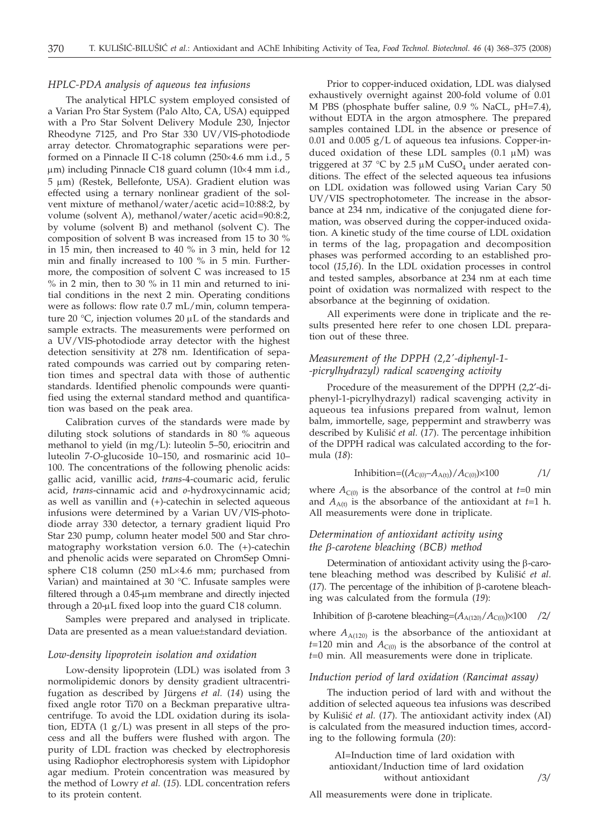#### *HPLC-PDA analysis of aqueous tea infusions*

The analytical HPLC system employed consisted of a Varian Pro Star System (Palo Alto, CA, USA) equipped with a Pro Star Solvent Delivery Module 230, Injector Rheodyne 7125, and Pro Star 330 UV/VIS-photodiode array detector. Chromatographic separations were performed on a Pinnacle II C-18 column ( $250 \times 4.6$  mm i.d., 5  $\mu$ m) including Pinnacle C18 guard column (10 $\times$ 4 mm i.d., 5 um) (Restek, Bellefonte, USA). Gradient elution was effected using a ternary nonlinear gradient of the solvent mixture of methanol/water/acetic acid=10:88:2, by volume (solvent A), methanol/water/acetic acid=90:8:2, by volume (solvent B) and methanol (solvent C). The composition of solvent B was increased from 15 to 30 % in 15 min, then increased to 40 % in 3 min, held for 12 min and finally increased to 100 % in 5 min. Furthermore, the composition of solvent C was increased to 15 % in 2 min, then to 30 % in 11 min and returned to initial conditions in the next 2 min. Operating conditions were as follows: flow rate 0.7 mL/min, column temperature 20 °C, injection volumes 20  $\mu$ L of the standards and sample extracts. The measurements were performed on a UV/VIS-photodiode array detector with the highest detection sensitivity at 278 nm. Identification of separated compounds was carried out by comparing retention times and spectral data with those of authentic standards. Identified phenolic compounds were quantified using the external standard method and quantification was based on the peak area.

Calibration curves of the standards were made by diluting stock solutions of standards in 80 % aqueous methanol to yield (in mg/L): luteolin 5–50, eriocitrin and luteolin 7-*O*-glucoside 10–150, and rosmarinic acid 10– 100. The concentrations of the following phenolic acids: gallic acid, vanillic acid, *trans*-4-coumaric acid, ferulic acid, *trans*-cinnamic acid and *o*-hydroxycinnamic acid; as well as vanillin and (+)-catechin in selected aqueous infusions were determined by a Varian UV/VIS-photodiode array 330 detector, a ternary gradient liquid Pro Star 230 pump, column heater model 500 and Star chromatography workstation version 6.0. The (+)-catechin and phenolic acids were separated on ChromSep Omnisphere C18 column (250 mL $\times$ 4.6 mm; purchased from Varian) and maintained at 30 °C. Infusate samples were filtered through a 0.45-µm membrane and directly injected through a  $20$ - $\mu$ L fixed loop into the guard C18 column.

Samples were prepared and analysed in triplicate. Data are presented as a mean value±standard deviation.

### *Low-density lipoprotein isolation and oxidation*

Low-density lipoprotein (LDL) was isolated from 3 normolipidemic donors by density gradient ultracentrifugation as described by Jürgens *et al.* (*14*) using the fixed angle rotor Ti70 on a Beckman preparative ultracentrifuge. To avoid the LDL oxidation during its isolation, EDTA  $(1 g/L)$  was present in all steps of the process and all the buffers were flushed with argon. The purity of LDL fraction was checked by electrophoresis using Radiophor electrophoresis system with Lipidophor agar medium. Protein concentration was measured by the method of Lowry *et al.* (*15*). LDL concentration refers to its protein content.

Prior to copper-induced oxidation, LDL was dialysed exhaustively overnight against 200-fold volume of 0.01 M PBS (phosphate buffer saline, 0.9 % NaCL, pH=7.4), without EDTA in the argon atmosphere. The prepared samples contained LDL in the absence or presence of  $0.01$  and  $0.005$  g/L of aqueous tea infusions. Copper-induced oxidation of these LDL samples  $(0.1 \mu M)$  was triggered at 37 °C by 2.5  $\mu$ M CuSO<sub>4</sub> under aerated conditions. The effect of the selected aqueous tea infusions on LDL oxidation was followed using Varian Cary 50 UV/VIS spectrophotometer. The increase in the absorbance at 234 nm, indicative of the conjugated diene formation, was observed during the copper-induced oxidation. A kinetic study of the time course of LDL oxidation in terms of the lag, propagation and decomposition phases was performed according to an established protocol (*15*,*16*). In the LDL oxidation processes in control and tested samples, absorbance at 234 nm at each time point of oxidation was normalized with respect to the absorbance at the beginning of oxidation.

All experiments were done in triplicate and the results presented here refer to one chosen LDL preparation out of these three.

# *Measurement of the DPPH (2,2'-diphenyl-1- -picrylhydrazyl) radical scavenging activity*

Procedure of the measurement of the DPPH (2,2′-diphenyl-1-picrylhydrazyl) radical scavenging activity in aqueous tea infusions prepared from walnut, lemon balm, immortelle, sage, peppermint and strawberry was described by Kulišić et al. (17). The percentage inhibition of the DPPH radical was calculated according to the formula (*18*):

Inhibition=((
$$
A_{C(0)}-A_{A(t)}/A_{C(0)}\times 100
$$
 /1/

where  $A_{C(0)}$  is the absorbance of the control at  $t=0$  min and  $A_{A(t)}$  is the absorbance of the antioxidant at  $t=1$  h. All measurements were done in triplicate.

# *Determination of antioxidant activity using the b-carotene bleaching (BCB) method*

Determination of antioxidant activity using the  $\beta$ -carotene bleaching method was described by Kulišić et al. ( $17$ ). The percentage of the inhibition of  $\beta$ -carotene bleaching was calculated from the formula (*19*):

Inhibition of  $\beta$ -carotene bleaching= $(A_{A(120)}/A_{C(0)}) \times 100$  /2/

where  $A_{A(120)}$  is the absorbance of the antioxidant at  $t=120$  min and  $A_{C(0)}$  is the absorbance of the control at *t*=0 min. All measurements were done in triplicate.

#### *Induction period of lard oxidation (Rancimat assay)*

The induction period of lard with and without the addition of selected aqueous tea infusions was described by Kulišić et al. (17). The antioxidant activity index (AI) is calculated from the measured induction times, according to the following formula (*20*):

AI=Induction time of lard oxidation with antioxidant/Induction time of lard oxidation without antioxidant */*3*/*

All measurements were done in triplicate.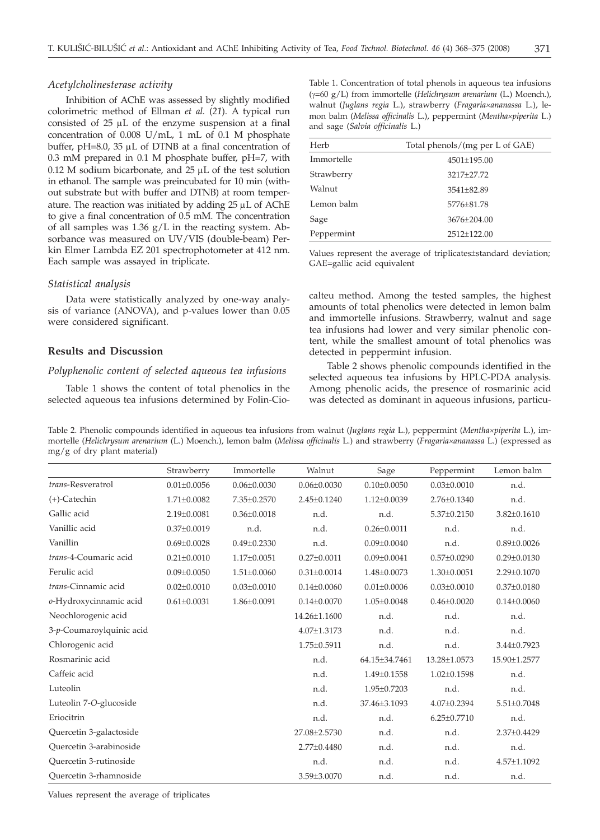#### *Acetylcholinesterase activity*

Inhibition of AChE was assessed by slightly modified colorimetric method of Ellman *et al.* (*21*). A typical run consisted of  $25 \mu L$  of the enzyme suspension at a final concentration of 0.008 U/mL, 1 mL of 0.1 M phosphate buffer, pH=8.0, 35  $\mu$ L of DTNB at a final concentration of 0.3 mM prepared in 0.1 M phosphate buffer, pH=7, with  $0.12$  M sodium bicarbonate, and  $25 \mu L$  of the test solution in ethanol. The sample was preincubated for 10 min (without substrate but with buffer and DTNB) at room temperature. The reaction was initiated by adding 25 uL of AChE to give a final concentration of 0.5 mM. The concentration of all samples was  $1.36$  g/L in the reacting system. Absorbance was measured on UV/VIS (double-beam) Perkin Elmer Lambda EZ 201 spectrophotometer at 412 nm. Each sample was assayed in triplicate.

#### *Statistical analysis*

Data were statistically analyzed by one-way analysis of variance (ANOVA), and p-values lower than 0.05 were considered significant.

## **Results and Discussion**

#### *Polyphenolic content of selected aqueous tea infusions*

Table 1 shows the content of total phenolics in the selected aqueous tea infusions determined by Folin-CioTable 1. Concentration of total phenols in aqueous tea infusions (g=60 g/L) from immortelle (*Helichrysum arenarium* (L.) Moench.), walnut (*Juglans regia* L.), strawberry (*Fragaria´ananassa* L.), lemon balm (*Melissa officinalis* L.), peppermint (*Mentha´piperita* L.) and sage (*Salvia officinalis* L.)

| Herb       | Total phenols/(mg per L of GAE) |
|------------|---------------------------------|
| Immortelle | 4501±195.00                     |
| Strawberry | 3217+27.72                      |
| Walnut     | 3541±82.89                      |
| Lemon balm | 5776±81.78                      |
| Sage       | 3676±204.00                     |
| Peppermint | 2512±122.00                     |
|            |                                 |

Values represent the average of triplicates±standard deviation; GAE=gallic acid equivalent

calteu method. Among the tested samples, the highest amounts of total phenolics were detected in lemon balm and immortelle infusions. Strawberry, walnut and sage tea infusions had lower and very similar phenolic content, while the smallest amount of total phenolics was detected in peppermint infusion.

Table 2 shows phenolic compounds identified in the selected aqueous tea infusions by HPLC-PDA analysis. Among phenolic acids, the presence of rosmarinic acid was detected as dominant in aqueous infusions, particu-

Table 2. Phenolic compounds identified in aqueous tea infusions from walnut (*Juglans regia* L.), peppermint (*Mentha´piperita* L.), immortelle (*Helichrysum arenarium* (L.) Moench.), lemon balm (*Melissa officinalis* L.) and strawberry (*Fragaria´ananassa* L.) (expressed as mg/g of dry plant material)

|                          | Strawberry        | Immortelle        | Walnut            | Sage              | Peppermint        | Lemon balm        |
|--------------------------|-------------------|-------------------|-------------------|-------------------|-------------------|-------------------|
| trans-Resveratrol        | $0.01 \pm 0.0056$ | $0.06 \pm 0.0030$ | $0.06 \pm 0.0030$ | $0.10\pm0.0050$   | $0.03 \pm 0.0010$ | n.d.              |
| $(+)$ -Catechin          | $1.71 \pm 0.0082$ | 7.35±0.2570       | $2.45 \pm 0.1240$ | $1.12 \pm 0.0039$ | $2.76 \pm 0.1340$ | n.d.              |
| Gallic acid              | 2.19±0.0081       | $0.36 \pm 0.0018$ | n.d.              | n.d.              | 5.37±0.2150       | $3.82 \pm 0.1610$ |
| Vanillic acid            | $0.37 \pm 0.0019$ | n.d.              | n.d.              | $0.26 \pm 0.0011$ | n.d.              | n.d.              |
| Vanillin                 | $0.69 \pm 0.0028$ | $0.49 \pm 0.2330$ | n.d.              | $0.09 \pm 0.0040$ | n.d.              | $0.89 \pm 0.0026$ |
| trans-4-Coumaric acid    | $0.21 \pm 0.0010$ | $1.17 \pm 0.0051$ | $0.27 \pm 0.0011$ | $0.09 \pm 0.0041$ | $0.57 \pm 0.0290$ | $0.29 \pm 0.0130$ |
| Ferulic acid             | $0.09 \pm 0.0050$ | $1.51 \pm 0.0060$ | $0.31 \pm 0.0014$ | 1.48±0.0073       | $1.30 \pm 0.0051$ | 2.29±0.1070       |
| trans-Cinnamic acid      | $0.02 \pm 0.0010$ | $0.03 \pm 0.0010$ | $0.14 \pm 0.0060$ | $0.01 \pm 0.0006$ | $0.03 \pm 0.0010$ | $0.37 \pm 0.0180$ |
| o-Hydroxycinnamic acid   | $0.61 \pm 0.0031$ | 1.86±0.0091       | $0.14 \pm 0.0070$ | $1.05 \pm 0.0048$ | $0.46 \pm 0.0020$ | $0.14 \pm 0.0060$ |
| Neochlorogenic acid      |                   |                   | 14.26±1.1600      | n.d.              | n.d.              | n.d.              |
| 3-p-Coumaroylquinic acid |                   |                   | 4.07±1.3173       | n.d.              | n.d.              | n.d.              |
| Chlorogenic acid         |                   |                   | 1.75±0.5911       | n.d.              | n.d.              | 3.44±0.7923       |
| Rosmarinic acid          |                   |                   | n.d.              | 64.15±34.7461     | 13.28±1.0573      | 15.90±1.2577      |
| Caffeic acid             |                   |                   | n.d.              | 1.49±0.1558       | $1.02 \pm 0.1598$ | n.d.              |
| Luteolin                 |                   |                   | n.d.              | 1.95±0.7203       | n.d.              | n.d.              |
| Luteolin 7-O-glucoside   |                   |                   | n.d.              | 37.46±3.1093      | $4.07 \pm 0.2394$ | 5.51±0.7048       |
| Eriocitrin               |                   |                   | n.d.              | n.d.              | $6.25 \pm 0.7710$ | n.d.              |
| Quercetin 3-galactoside  |                   |                   | 27.08±2.5730      | n.d.              | n.d.              | 2.37±0.4429       |
| Quercetin 3-arabinoside  |                   |                   | 2.77±0.4480       | n.d.              | n.d.              | n.d.              |
| Ouercetin 3-rutinoside   |                   |                   | n.d.              | n.d.              | n.d.              | 4.57±1.1092       |
| Ouercetin 3-rhamnoside   |                   |                   | 3.59±3.0070       | n.d.              | n.d.              | n.d.              |
|                          |                   |                   |                   |                   |                   |                   |

Values represent the average of triplicates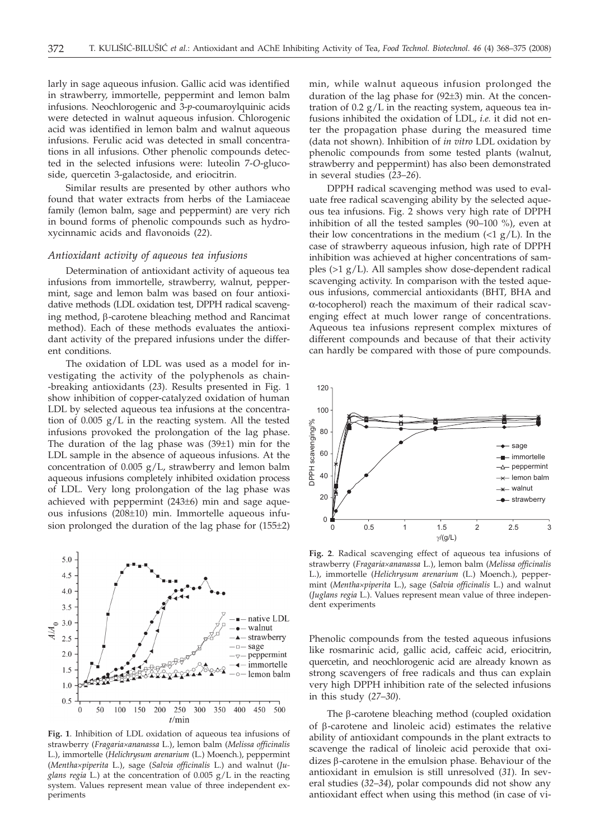larly in sage aqueous infusion. Gallic acid was identified in strawberry, immortelle, peppermint and lemon balm infusions. Neochlorogenic and 3-*p*-coumaroylquinic acids were detected in walnut aqueous infusion. Chlorogenic acid was identified in lemon balm and walnut aqueous infusions. Ferulic acid was detected in small concentrations in all infusions. Other phenolic compounds detected in the selected infusions were: luteolin 7-*O*-glucoside, quercetin 3-galactoside, and eriocitrin.

Similar results are presented by other authors who found that water extracts from herbs of the Lamiaceae family (lemon balm, sage and peppermint) are very rich in bound forms of phenolic compounds such as hydroxycinnamic acids and flavonoids (*22*).

# *Antioxidant activity of aqueous tea infusions*

Determination of antioxidant activity of aqueous tea infusions from immortelle, strawberry, walnut, peppermint, sage and lemon balm was based on four antioxidative methods (LDL oxidation test, DPPH radical scavenging method, b-carotene bleaching method and Rancimat method). Each of these methods evaluates the antioxidant activity of the prepared infusions under the different conditions.

The oxidation of LDL was used as a model for investigating the activity of the polyphenols as chain- -breaking antioxidants (*23*). Results presented in Fig. 1 show inhibition of copper-catalyzed oxidation of human LDL by selected aqueous tea infusions at the concentration of 0.005 g/L in the reacting system. All the tested infusions provoked the prolongation of the lag phase. The duration of the lag phase was  $(39±1)$  min for the LDL sample in the absence of aqueous infusions. At the concentration of 0.005 g/L, strawberry and lemon balm aqueous infusions completely inhibited oxidation process of LDL. Very long prolongation of the lag phase was achieved with peppermint (243±6) min and sage aqueous infusions (208±10) min. Immortelle aqueous infusion prolonged the duration of the lag phase for (155±2)



**Fig. 1**. Inhibition of LDL oxidation of aqueous tea infusions of strawberry (*Fragaria´ananassa* L.), lemon balm (*Melissa officinalis* L.), immortelle (*Helichrysum arenarium* (L.) Moench.), peppermint (*Mentha´piperita* L.), sage (*Salvia officinalis* L.) and walnut (*Juglans regia* L.) at the concentration of 0.005 g/L in the reacting system. Values represent mean value of three independent experiments

min, while walnut aqueous infusion prolonged the duration of the lag phase for (92±3) min. At the concentration of  $0.2$  g/L in the reacting system, aqueous tea infusions inhibited the oxidation of LDL, *i.e.* it did not enter the propagation phase during the measured time (data not shown). Inhibition of *in vitro* LDL oxidation by phenolic compounds from some tested plants (walnut, strawberry and peppermint) has also been demonstrated in several studies (*23*–*26*).

DPPH radical scavenging method was used to evaluate free radical scavenging ability by the selected aqueous tea infusions. Fig. 2 shows very high rate of DPPH inhibition of all the tested samples (90–100 %), even at their low concentrations in the medium  $\langle 1 g/L \rangle$ . In the case of strawberry aqueous infusion, high rate of DPPH inhibition was achieved at higher concentrations of samples (>1 g/L). All samples show dose-dependent radical scavenging activity. In comparison with the tested aqueous infusions, commercial antioxidants (BHT, BHA and α-tocopherol) reach the maximum of their radical scavenging effect at much lower range of concentrations. Aqueous tea infusions represent complex mixtures of different compounds and because of that their activity can hardly be compared with those of pure compounds.



**Fig. 2**. Radical scavenging effect of aqueous tea infusions of strawberry (*Fragaria´ananassa* L.), lemon balm (*Melissa officinalis* L.), immortelle (*Helichrysum arenarium* (L.) Moench.), peppermint (*Mentha´piperita* L.), sage (*Salvia officinalis* L.) and walnut (*Juglans regia* L.). Values represent mean value of three independent experiments

Phenolic compounds from the tested aqueous infusions like rosmarinic acid, gallic acid, caffeic acid, eriocitrin, quercetin, and neochlorogenic acid are already known as strong scavengers of free radicals and thus can explain very high DPPH inhibition rate of the selected infusions in this study (*27*–*30*).

The  $\beta$ -carotene bleaching method (coupled oxidation of  $\beta$ -carotene and linoleic acid) estimates the relative ability of antioxidant compounds in the plant extracts to scavenge the radical of linoleic acid peroxide that oxidizes  $\beta$ -carotene in the emulsion phase. Behaviour of the antioxidant in emulsion is still unresolved (*31*). In several studies (*32*–*34*), polar compounds did not show any antioxidant effect when using this method (in case of vi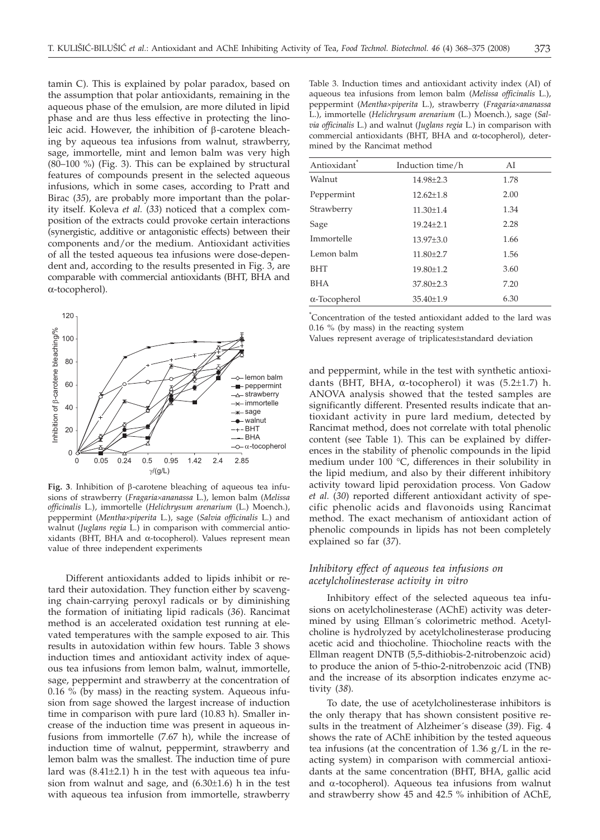tamin C). This is explained by polar paradox, based on the assumption that polar antioxidants, remaining in the aqueous phase of the emulsion, are more diluted in lipid phase and are thus less effective in protecting the linoleic acid. However, the inhibition of  $\beta$ -carotene bleaching by aqueous tea infusions from walnut, strawberry, sage, immortelle, mint and lemon balm was very high (80–100 %) (Fig. 3). This can be explained by structural features of compounds present in the selected aqueous infusions, which in some cases, according to Pratt and Birac (*35*), are probably more important than the polarity itself. Koleva *et al.* (*33*) noticed that a complex composition of the extracts could provoke certain interactions (synergistic, additive or antagonistic effects) between their components and/or the medium. Antioxidant activities of all the tested aqueous tea infusions were dose-dependent and, according to the results presented in Fig. 3, are comparable with commercial antioxidants (BHT, BHA and α-tocopherol).



Fig. 3. Inhibition of  $\beta$ -carotene bleaching of aqueous tea infusions of strawberry (*Fragaria´ananassa* L.), lemon balm (*Melissa officinalis* L.), immortelle (*Helichrysum arenarium* (L.) Moench.), peppermint (*Mentha´piperita* L.), sage (*Salvia officinalis* L.) and walnut (*Juglans regia* L.) in comparison with commercial antioxidants (BHT, BHA and α-tocopherol). Values represent mean value of three independent experiments

Different antioxidants added to lipids inhibit or retard their autoxidation. They function either by scavenging chain-carrying peroxyl radicals or by diminishing the formation of initiating lipid radicals (*36*). Rancimat method is an accelerated oxidation test running at elevated temperatures with the sample exposed to air. This results in autoxidation within few hours. Table 3 shows induction times and antioxidant activity index of aqueous tea infusions from lemon balm, walnut, immortelle, sage, peppermint and strawberry at the concentration of 0.16 % (by mass) in the reacting system. Aqueous infusion from sage showed the largest increase of induction time in comparison with pure lard (10.83 h). Smaller increase of the induction time was present in aqueous infusions from immortelle (7.67 h), while the increase of induction time of walnut, peppermint, strawberry and lemon balm was the smallest. The induction time of pure lard was  $(8.41\pm2.1)$  h in the test with aqueous tea infusion from walnut and sage, and (6.30±1.6) h in the test with aqueous tea infusion from immortelle, strawberry

| Antioxidant  | Induction time/h | AI   |
|--------------|------------------|------|
| Walnut       | 14.98±2.3        | 1.78 |
| Peppermint   | $12.62 \pm 1.8$  | 2.00 |
| Strawberry   | $11.30 \pm 1.4$  | 1.34 |
| Sage         | $19.24 \pm 2.1$  | 2.28 |
| Immortelle   | $13.97{\pm}3.0$  | 1.66 |
| Lemon balm   | $11.80 \pm 2.7$  | 1.56 |
| <b>BHT</b>   | 19.80±1.2        | 3.60 |
| BHA          | 37.80±2.3        | 7.20 |
| α-Tocopherol | $35.40 \pm 1.9$  | 6.30 |
|              |                  |      |

\* Concentration of the tested antioxidant added to the lard was 0.16 % (by mass) in the reacting system

Values represent average of triplicates±standard deviation

and peppermint, while in the test with synthetic antioxidants (BHT, BHA, α-tocopherol) it was  $(5.2\pm1.7)$  h. ANOVA analysis showed that the tested samples are significantly different. Presented results indicate that antioxidant activity in pure lard medium, detected by Rancimat method, does not correlate with total phenolic content (see Table 1). This can be explained by differences in the stability of phenolic compounds in the lipid medium under 100 °C, differences in their solubility in the lipid medium, and also by their different inhibitory activity toward lipid peroxidation process. Von Gadow *et al.* (*30*) reported different antioxidant activity of specific phenolic acids and flavonoids using Rancimat method. The exact mechanism of antioxidant action of phenolic compounds in lipids has not been completely explained so far (*37*).

# *Inhibitory effect of aqueous tea infusions on acetylcholinesterase activity in vitro*

Inhibitory effect of the selected aqueous tea infusions on acetylcholinesterase (AChE) activity was determined by using Ellman´s colorimetric method. Acetylcholine is hydrolyzed by acetylcholinesterase producing acetic acid and thiocholine. Thiocholine reacts with the Ellman reagent DNTB (5,5-dithiobis-2-nitrobenzoic acid) to produce the anion of 5-thio-2-nitrobenzoic acid (TNB) and the increase of its absorption indicates enzyme activity (*38*).

To date, the use of acetylcholinesterase inhibitors is the only therapy that has shown consistent positive results in the treatment of Alzheimer´s disease (*39*). Fig. 4 shows the rate of AChE inhibition by the tested aqueous tea infusions (at the concentration of  $1.36$  g/L in the reacting system) in comparison with commercial antioxidants at the same concentration (BHT, BHA, gallic acid and  $\alpha$ -tocopherol). Aqueous tea infusions from walnut and strawberry show 45 and 42.5 % inhibition of AChE,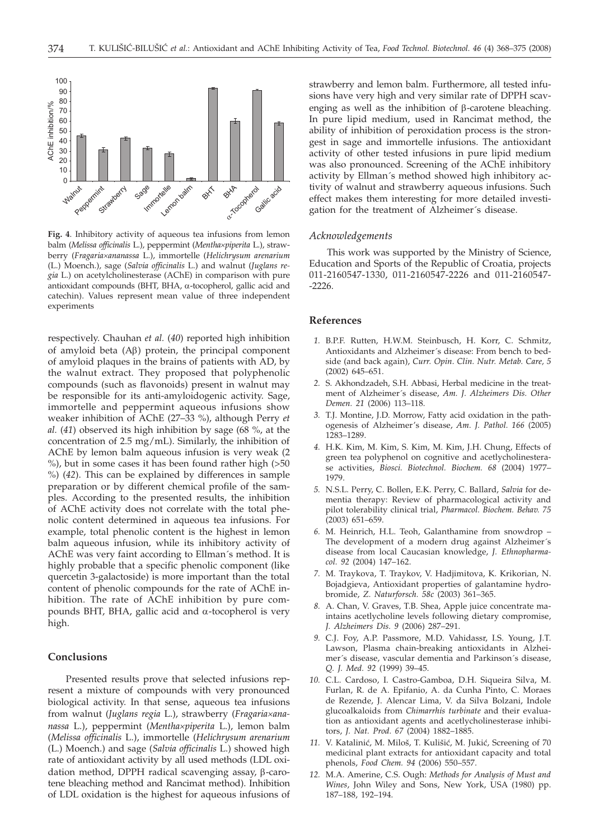

**Fig. 4**. Inhibitory activity of aqueous tea infusions from lemon balm (*Melissa officinalis* L.), peppermint (*Mentha´piperita* L.), strawberry (*Fragaria´ananassa* L.), immortelle (*Helichrysum arenarium* (L.) Moench.), sage (*Salvia officinalis* L.) and walnut (*Juglans regia* L.) on acetylcholinesterase (AChE) in comparison with pure antioxidant compounds (BHT, BHA, a-tocopherol, gallic acid and catechin). Values represent mean value of three independent experiments

respectively. Chauhan *et al.* (*40*) reported high inhibition of amyloid beta  $(A\beta)$  protein, the principal component of amyloid plaques in the brains of patients with AD, by the walnut extract. They proposed that polyphenolic compounds (such as flavonoids) present in walnut may be responsible for its anti-amyloidogenic activity. Sage, immortelle and peppermint aqueous infusions show weaker inhibition of AChE (27–33 %), although Perry *et al.* (*41*) observed its high inhibition by sage (68 %, at the concentration of 2.5 mg/mL). Similarly, the inhibition of AChE by lemon balm aqueous infusion is very weak (2 %), but in some cases it has been found rather high (>50 %) (*42*). This can be explained by differences in sample preparation or by different chemical profile of the samples. According to the presented results, the inhibition of AChE activity does not correlate with the total phenolic content determined in aqueous tea infusions. For example, total phenolic content is the highest in lemon balm aqueous infusion, while its inhibitory activity of AChE was very faint according to Ellman´s method. It is highly probable that a specific phenolic component (like quercetin 3-galactoside) is more important than the total content of phenolic compounds for the rate of AChE inhibition. The rate of AChE inhibition by pure compounds BHT, BHA, gallic acid and  $\alpha$ -tocopherol is very high.

#### **Conclusions**

Presented results prove that selected infusions represent a mixture of compounds with very pronounced biological activity. In that sense, aqueous tea infusions from walnut (*Juglans regia* L.), strawberry (*Fragaria´ananassa* L.), peppermint (*Mentha´piperita* L.), lemon balm (*Melissa officinalis* L.), immortelle (*Helichrysum arenarium* (L.) Moench.) and sage (*Salvia officinalis* L.) showed high rate of antioxidant activity by all used methods (LDL oxidation method, DPPH radical scavenging assay, β-carotene bleaching method and Rancimat method). Inhibition of LDL oxidation is the highest for aqueous infusions of strawberry and lemon balm. Furthermore, all tested infusions have very high and very similar rate of DPPH scavenging as well as the inhibition of  $\beta$ -carotene bleaching. In pure lipid medium, used in Rancimat method, the ability of inhibition of peroxidation process is the strongest in sage and immortelle infusions. The antioxidant activity of other tested infusions in pure lipid medium was also pronounced. Screening of the AChE inhibitory activity by Ellman´s method showed high inhibitory activity of walnut and strawberry aqueous infusions. Such effect makes them interesting for more detailed investigation for the treatment of Alzheimer´s disease.

#### *Acknowledgements*

This work was supported by the Ministry of Science, Education and Sports of the Republic of Croatia, projects 011-2160547-1330, 011-2160547-2226 and 011-2160547- -2226.

## **References**

- *1.* B.P.F. Rutten, H.W.M. Steinbusch, H. Korr, C. Schmitz, Antioxidants and Alzheimer´s disease: From bench to bedside (and back again), *Curr. Opin*. *Clin. Nutr. Metab. Care, 5* (2002) 645–651.
- *2.* S. Akhondzadeh, S.H. Abbasi, Herbal medicine in the treatment of Alzheimer´s disease, *Am. J. Alzheimers Dis. Other Demen. 21* (2006) 113–118.
- *3.* T.J. Montine, J.D. Morrow, Fatty acid oxidation in the pathogenesis of Alzheimer's disease, *Am. J. Pathol. 166* (2005) 1283–1289.
- *4.* H.K. Kim, M. Kim, S. Kim, M. Kim, J.H. Chung, Effects of green tea polyphenol on cognitive and acetlycholinesterase activities, *Biosci. Biotechnol. Biochem. 68* (2004) 1977– 1979.
- *5.* N.S.L. Perry, C. Bollen, E.K. Perry, C. Ballard, *Salvia* for dementia therapy: Review of pharmacological activity and pilot tolerability clinical trial, *Pharmacol. Biochem. Behav. 75* (2003) 651–659.
- *6.* M. Heinrich, H.L. Teoh, Galanthamine from snowdrop The development of a modern drug against Alzheimer´s disease from local Caucasian knowledge, *J. Ethnopharmacol. 92* (2004) 147–162.
- *7.* M. Traykova, T. Traykov, V. Hadjimitova, K. Krikorian, N. Bojadgieva, Antioxidant properties of galantamine hydrobromide, *Z. Naturforsch. 58c* (2003) 361–365.
- *8.* A. Chan, V. Graves, T.B. Shea, Apple juice concentrate maintains acetlycholine levels following dietary compromise, *J. Alzheimers Dis. 9* (2006) 287–291.
- *9.* C.J. Foy, A.P. Passmore, M.D. Vahidassr, I.S. Young, J.T. Lawson, Plasma chain-breaking antioxidants in Alzheimer´s disease, vascular dementia and Parkinson´s disease, *Q. J. Med. 92* (1999) 39–45.
- *10.* C.L. Cardoso, I. Castro-Gamboa, D.H. Siqueira Silva, M. Furlan, R. de A. Epifanio, A. da Cunha Pinto, C. Moraes de Rezende, J. Alencar Lima, V. da Silva Bolzani, Indole glucoalkaloids from *Chimarrhis turbinate* and their evaluation as antioxidant agents and acetlycholinesterase inhibitors, *J. Nat. Prod. 67* (2004) 1882–1885.
- 11. V. Katalinić, M. Miloš, T. Kulišić, M. Jukić, Screening of 70 medicinal plant extracts for antioxidant capacity and total phenols, *Food Chem. 94* (2006) 550–557.
- *12.* M.A. Amerine, C.S. Ough: *Methods for Analysis of Must and Wines*, John Wiley and Sons, New York, USA (1980) pp. 187–188, 192–194.